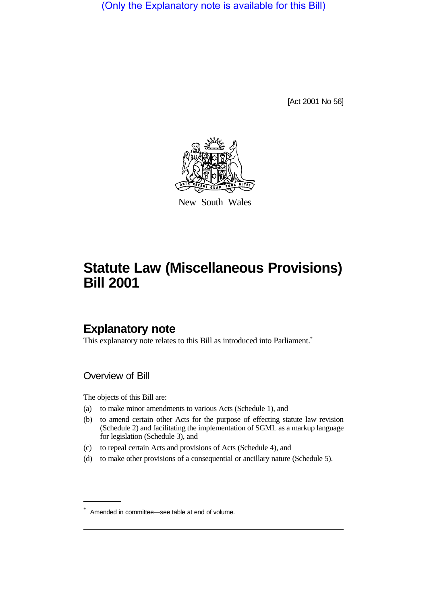(Only the Explanatory note is available for this Bill)

[Act 2001 No 56]



New South Wales

# **Statute Law (Miscellaneous Provisions) Bill 2001**

# **Explanatory note**

This explanatory note relates to this Bill as introduced into Parliament.<sup>\*</sup>

# Overview of Bill

The objects of this Bill are:

- (a) to make minor amendments to various Acts (Schedule 1), and
- (b) to amend certain other Acts for the purpose of effecting statute law revision (Schedule 2) and facilitating the implementation of SGML as a markup language for legislation (Schedule 3), and
- (c) to repeal certain Acts and provisions of Acts (Schedule 4), and
- (d) to make other provisions of a consequential or ancillary nature (Schedule 5).

<sup>\*</sup> Amended in committee—see table at end of volume.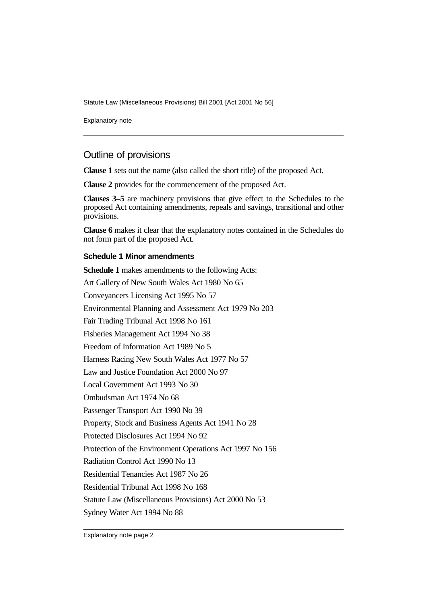Statute Law (Miscellaneous Provisions) Bill 2001 [Act 2001 No 56]

Explanatory note

# Outline of provisions

**Clause 1** sets out the name (also called the short title) of the proposed Act.

**Clause 2** provides for the commencement of the proposed Act.

**Clauses 3–5** are machinery provisions that give effect to the Schedules to the proposed Act containing amendments, repeals and savings, transitional and other provisions.

**Clause 6** makes it clear that the explanatory notes contained in the Schedules do not form part of the proposed Act.

#### **Schedule 1 Minor amendments**

**Schedule 1** makes amendments to the following Acts: Art Gallery of New South Wales Act 1980 No 65 Conveyancers Licensing Act 1995 No 57 Environmental Planning and Assessment Act 1979 No 203 Fair Trading Tribunal Act 1998 No 161 Fisheries Management Act 1994 No 38 Freedom of Information Act 1989 No 5 Harness Racing New South Wales Act 1977 No 57 Law and Justice Foundation Act 2000 No 97 Local Government Act 1993 No 30 Ombudsman Act 1974 No 68 Passenger Transport Act 1990 No 39 Property, Stock and Business Agents Act 1941 No 28 Protected Disclosures Act 1994 No 92 Protection of the Environment Operations Act 1997 No 156 Radiation Control Act 1990 No 13 Residential Tenancies Act 1987 No 26 Residential Tribunal Act 1998 No 168 Statute Law (Miscellaneous Provisions) Act 2000 No 53 Sydney Water Act 1994 No 88

Explanatory note page 2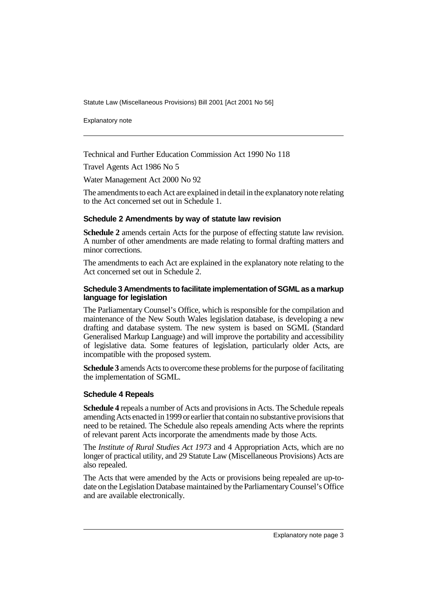Statute Law (Miscellaneous Provisions) Bill 2001 [Act 2001 No 56]

Explanatory note

Technical and Further Education Commission Act 1990 No 118

Travel Agents Act 1986 No 5

Water Management Act 2000 No 92

The amendments to each Act are explained in detail in the explanatory note relating to the Act concerned set out in Schedule 1.

#### **Schedule 2 Amendments by way of statute law revision**

**Schedule 2** amends certain Acts for the purpose of effecting statute law revision. A number of other amendments are made relating to formal drafting matters and minor corrections.

The amendments to each Act are explained in the explanatory note relating to the Act concerned set out in Schedule 2.

#### **Schedule 3 Amendments to facilitate implementation of SGML as a markup language for legislation**

The Parliamentary Counsel's Office, which is responsible for the compilation and maintenance of the New South Wales legislation database, is developing a new drafting and database system. The new system is based on SGML (Standard Generalised Markup Language) and will improve the portability and accessibility of legislative data. Some features of legislation, particularly older Acts, are incompatible with the proposed system.

**Schedule 3** amends Acts to overcome these problems for the purpose of facilitating the implementation of SGML.

#### **Schedule 4 Repeals**

**Schedule 4** repeals a number of Acts and provisions in Acts. The Schedule repeals amending Acts enacted in 1999 or earlier that contain no substantive provisions that need to be retained. The Schedule also repeals amending Acts where the reprints of relevant parent Acts incorporate the amendments made by those Acts.

The *Institute of Rural Studies Act 1973* and 4 Appropriation Acts, which are no longer of practical utility, and 29 Statute Law (Miscellaneous Provisions) Acts are also repealed.

The Acts that were amended by the Acts or provisions being repealed are up-todate on the Legislation Database maintained by the Parliamentary Counsel's Office and are available electronically.